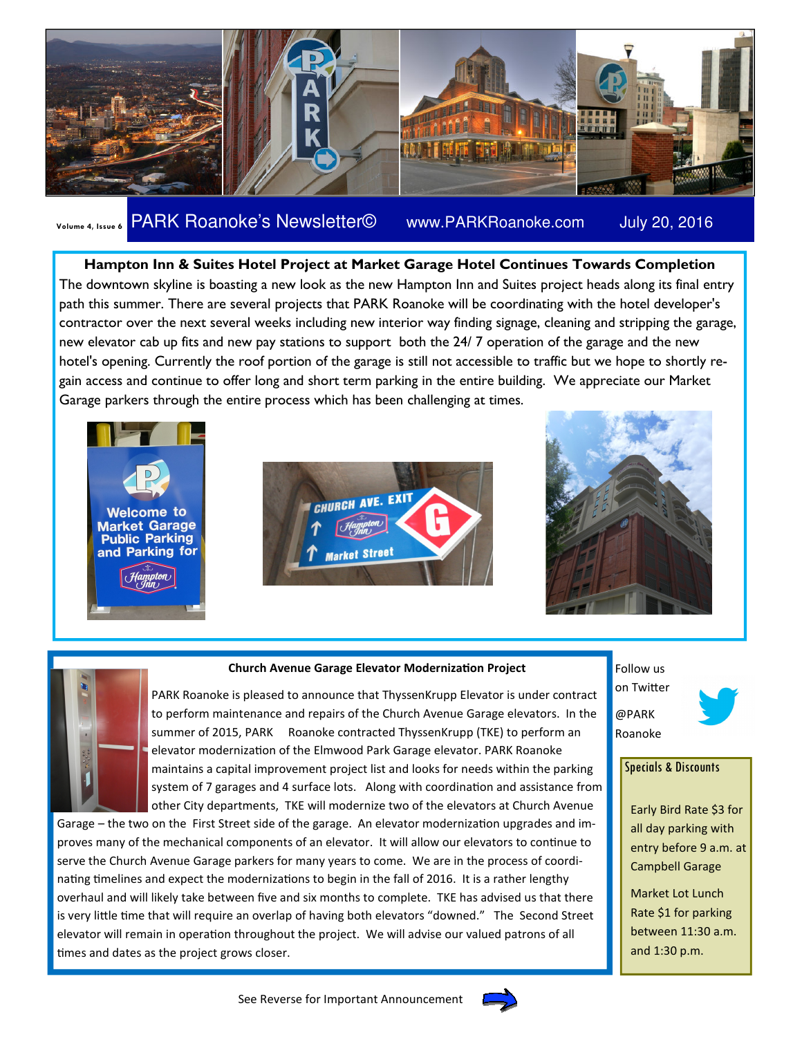

## Volume 4, Issue 6 PARK Roanoke's Newsletter© www.PARKRoanoke.com July 20, 2016

Hampton Inn & Suites Hotel Project at Market Garage Hotel Continues Towards Completion The downtown skyline is boasting a new look as the new Hampton Inn and Suites project heads along its final entry path this summer. There are several projects that PARK Roanoke will be coordinating with the hotel developer's contractor over the next several weeks including new interior way finding signage, cleaning and stripping the garage, new elevator cab up fits and new pay stations to support both the 24/ 7 operation of the garage and the new hotel's opening. Currently the roof portion of the garage is still not accessible to traffic but we hope to shortly regain access and continue to offer long and short term parking in the entire building. We appreciate our Market Garage parkers through the entire process which has been challenging at times.







#### Church Avenue Garage Elevator Modernization Project



PARK Roanoke is pleased to announce that ThyssenKrupp Elevator is under contract to perform maintenance and repairs of the Church Avenue Garage elevators. In the summer of 2015, PARK Roanoke contracted ThyssenKrupp (TKE) to perform an elevator modernization of the Elmwood Park Garage elevator. PARK Roanoke maintains a capital improvement project list and looks for needs within the parking system of 7 garages and 4 surface lots. Along with coordination and assistance from

other City departments, TKE will modernize two of the elevators at Church Avenue Garage – the two on the First Street side of the garage. An elevator modernization upgrades and improves many of the mechanical components of an elevator. It will allow our elevators to continue to serve the Church Avenue Garage parkers for many years to come. We are in the process of coordinating timelines and expect the modernizations to begin in the fall of 2016. It is a rather lengthy overhaul and will likely take between five and six months to complete. TKE has advised us that there is very little time that will require an overlap of having both elevators "downed." The Second Street elevator will remain in operation throughout the project. We will advise our valued patrons of all times and dates as the project grows closer.





#### Specials & Discounts

Early Bird Rate \$3 for all day parking with entry before 9 a.m. at Campbell Garage

Market Lot Lunch Rate \$1 for parking between 11:30 a.m. and 1:30 p.m.